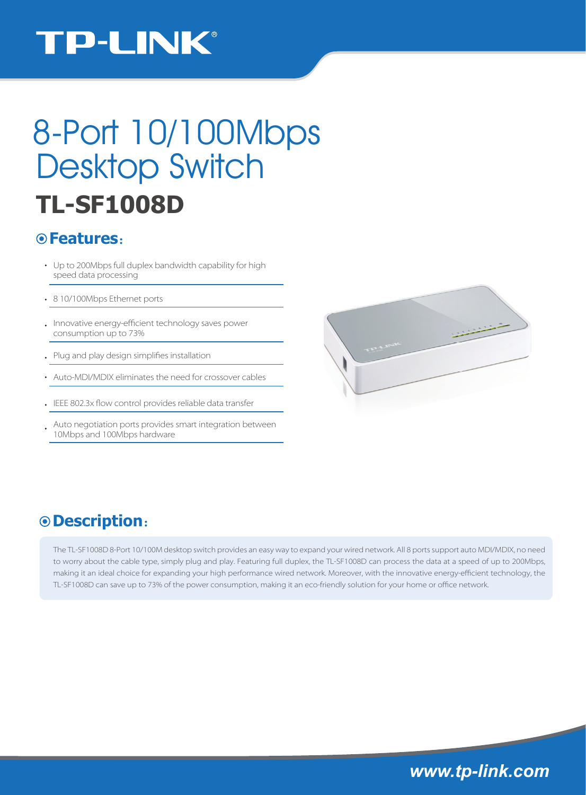## **TP-LINK®**

# 8-Port 10/100Mbps Desktop Switch **TL-SF1008D**

#### **Features**:

- Up to 200Mbps full duplex bandwidth capability for high speed data processing
- 8 10/100Mbps Ethernet ports
- . Innovative energy-efficient technology saves power consumption up to 73%
- Plug and play design simplifies installation
- Auto-MDI/MDIX eliminates the need for crossover cables
- IEEE 802.3x flow control provides reliable data transfer
- Auto negotiation ports provides smart integration between 10Mbps and 100Mbps hardware



### **Description**:

The TL-SF1008D 8-Port 10/100M desktop switch provides an easy way to expand your wired network. All 8 ports support auto MDI/MDIX, no need to worry about the cable type, simply plug and play. Featuring full duplex, the TL-SF1008D can process the data at a speed of up to 200Mbps, making it an ideal choice for expanding your high performance wired network. Moreover, with the innovative energy-efficient technology, the TL-SF1008D can save up to 73% of the power consumption, making it an eco-friendly solution for your home or office network.